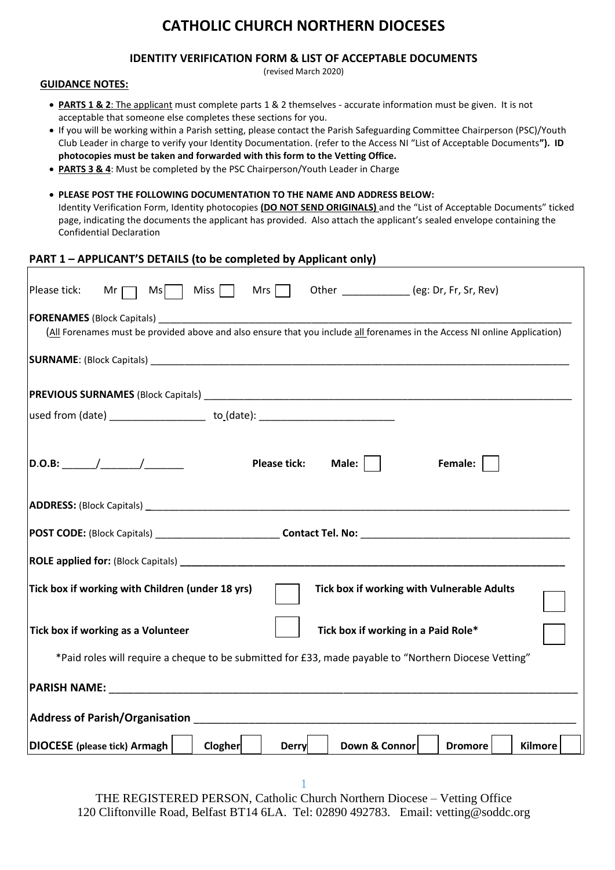# **CATHOLIC CHURCH NORTHERN DIOCESES**

## **IDENTITY VERIFICATION FORM & LIST OF ACCEPTABLE DOCUMENTS**

(revised March 2020)

#### **GUIDANCE NOTES:**

- **PARTS 1 & 2**: The applicant must complete parts 1 & 2 themselves accurate information must be given. It is not acceptable that someone else completes these sections for you.
- If you will be working within a Parish setting, please contact the Parish Safeguarding Committee Chairperson (PSC)/Youth Club Leader in charge to verify your Identity Documentation. (refer to the Access NI "List of Acceptable Documents**"). ID photocopies must be taken and forwarded with this form to the Vetting Office.**
- **PARTS 3 & 4**: Must be completed by the PSC Chairperson/Youth Leader in Charge
- **PLEASE POST THE FOLLOWING DOCUMENTATION TO THE NAME AND ADDRESS BELOW:** Identity Verification Form, Identity photocopies **(DO NOT SEND ORIGINALS)** and the "List of Acceptable Documents" ticked page, indicating the documents the applicant has provided. Also attach the applicant's sealed envelope containing the Confidential Declaration

## **PART 1 – APPLICANT'S DETAILS (to be completed by Applicant only)**

| Other _____________ (eg: Dr, Fr, Sr, Rev)<br>Please tick:<br>$Mr \tMs$ Miss Miss Mrs                                                                                                                                           |  |  |  |  |  |  |
|--------------------------------------------------------------------------------------------------------------------------------------------------------------------------------------------------------------------------------|--|--|--|--|--|--|
| (All Forenames must be provided above and also ensure that you include all forenames in the Access NI online Application)                                                                                                      |  |  |  |  |  |  |
|                                                                                                                                                                                                                                |  |  |  |  |  |  |
|                                                                                                                                                                                                                                |  |  |  |  |  |  |
| used from (date) ________________________to_(date): ___________________________                                                                                                                                                |  |  |  |  |  |  |
| Male: $\vert$ $\vert$<br><b>Please tick:</b><br>Female:                                                                                                                                                                        |  |  |  |  |  |  |
|                                                                                                                                                                                                                                |  |  |  |  |  |  |
|                                                                                                                                                                                                                                |  |  |  |  |  |  |
|                                                                                                                                                                                                                                |  |  |  |  |  |  |
| Tick box if working with Children (under 18 yrs)<br>Tick box if working with Vulnerable Adults                                                                                                                                 |  |  |  |  |  |  |
| Tick box if working in a Paid Role*<br>Tick box if working as a Volunteer                                                                                                                                                      |  |  |  |  |  |  |
| *Paid roles will require a cheque to be submitted for £33, made payable to "Northern Diocese Vetting"                                                                                                                          |  |  |  |  |  |  |
|                                                                                                                                                                                                                                |  |  |  |  |  |  |
| Address of Parish/Organisation and the control of the control of the control of the control of the control of the control of the control of the control of the control of the control of the control of the control of the con |  |  |  |  |  |  |
| DIOCESE (please tick) Armagh<br>Clogher<br>Down & Connor<br><b>Derry</b><br><b>Dromore</b><br><b>Kilmore</b>                                                                                                                   |  |  |  |  |  |  |

1 THE REGISTERED PERSON, Catholic Church Northern Diocese – Vetting Office 120 Cliftonville Road, Belfast BT14 6LA. Tel: 02890 492783. Email: vetting@soddc.org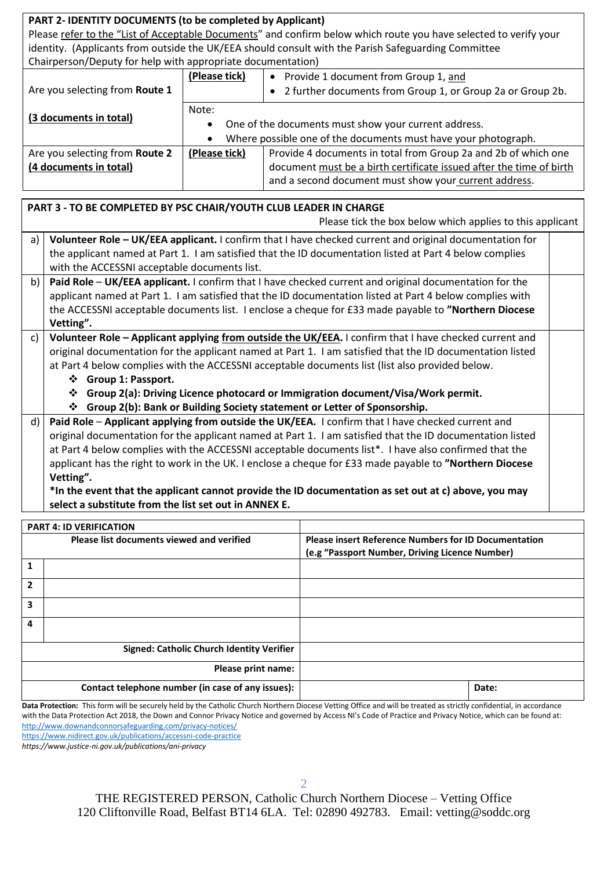| PART 2- IDENTITY DOCUMENTS (to be completed by Applicant)                                                         |                                                                   |               |                                                                                                           |  |  |  |
|-------------------------------------------------------------------------------------------------------------------|-------------------------------------------------------------------|---------------|-----------------------------------------------------------------------------------------------------------|--|--|--|
| Please refer to the "List of Acceptable Documents" and confirm below which route you have selected to verify your |                                                                   |               |                                                                                                           |  |  |  |
|                                                                                                                   |                                                                   |               | identity. (Applicants from outside the UK/EEA should consult with the Parish Safeguarding Committee       |  |  |  |
|                                                                                                                   | Chairperson/Deputy for help with appropriate documentation)       |               |                                                                                                           |  |  |  |
|                                                                                                                   |                                                                   | (Please tick) | • Provide 1 document from Group 1, and                                                                    |  |  |  |
|                                                                                                                   | Are you selecting from Route 1                                    |               | 2 further documents from Group 1, or Group 2a or Group 2b.                                                |  |  |  |
|                                                                                                                   |                                                                   | Note:         |                                                                                                           |  |  |  |
|                                                                                                                   | (3 documents in total)                                            |               | One of the documents must show your current address.                                                      |  |  |  |
|                                                                                                                   |                                                                   |               | Where possible one of the documents must have your photograph.                                            |  |  |  |
|                                                                                                                   | Are you selecting from Route 2                                    | (Please tick) | Provide 4 documents in total from Group 2a and 2b of which one                                            |  |  |  |
|                                                                                                                   | (4 documents in total)                                            |               | document must be a birth certificate issued after the time of birth                                       |  |  |  |
|                                                                                                                   |                                                                   |               | and a second document must show your current address.                                                     |  |  |  |
|                                                                                                                   |                                                                   |               |                                                                                                           |  |  |  |
|                                                                                                                   | PART 3 - TO BE COMPLETED BY PSC CHAIR/YOUTH CLUB LEADER IN CHARGE |               |                                                                                                           |  |  |  |
|                                                                                                                   |                                                                   |               | Please tick the box below which applies to this applicant                                                 |  |  |  |
| a)                                                                                                                |                                                                   |               | Volunteer Role - UK/EEA applicant. I confirm that I have checked current and original documentation for   |  |  |  |
|                                                                                                                   |                                                                   |               | the applicant named at Part 1. I am satisfied that the ID documentation listed at Part 4 below complies   |  |  |  |
|                                                                                                                   | with the ACCESSNI acceptable documents list.                      |               |                                                                                                           |  |  |  |
| b)                                                                                                                |                                                                   |               | Paid Role - UK/EEA applicant. I confirm that I have checked current and original documentation for the    |  |  |  |
|                                                                                                                   |                                                                   |               | applicant named at Part 1. I am satisfied that the ID documentation listed at Part 4 below complies with  |  |  |  |
|                                                                                                                   |                                                                   |               | the ACCESSNI acceptable documents list. I enclose a cheque for £33 made payable to "Northern Diocese      |  |  |  |
|                                                                                                                   | Vetting".                                                         |               |                                                                                                           |  |  |  |
| c)                                                                                                                |                                                                   |               | Volunteer Role - Applicant applying from outside the UK/EEA. I confirm that I have checked current and    |  |  |  |
|                                                                                                                   |                                                                   |               | original documentation for the applicant named at Part 1. I am satisfied that the ID documentation listed |  |  |  |
|                                                                                                                   |                                                                   |               | at Part 4 below complies with the ACCESSNI acceptable documents list (list also provided below.           |  |  |  |
| ❖ Group 1: Passport.                                                                                              |                                                                   |               |                                                                                                           |  |  |  |
|                                                                                                                   |                                                                   |               | ❖ Group 2(a): Driving Licence photocard or Immigration document/Visa/Work permit.                         |  |  |  |
| Group 2(b): Bank or Building Society statement or Letter of Sponsorship.                                          |                                                                   |               |                                                                                                           |  |  |  |
| $\mathsf{d}$                                                                                                      |                                                                   |               | Paid Role - Applicant applying from outside the UK/EEA. I confirm that I have checked current and         |  |  |  |
|                                                                                                                   |                                                                   |               | original documentation for the applicant named at Part 1. I am satisfied that the ID documentation listed |  |  |  |
|                                                                                                                   |                                                                   |               | at Part 4 below complies with the ACCESSNI acceptable documents list*. I have also confirmed that the     |  |  |  |
| applicant has the right to work in the UK. I enclose a cheque for £33 made payable to "Northern Diocese           |                                                                   |               |                                                                                                           |  |  |  |
| Vetting".                                                                                                         |                                                                   |               |                                                                                                           |  |  |  |
| *In the event that the applicant cannot provide the ID documentation as set out at c) above, you may              |                                                                   |               |                                                                                                           |  |  |  |
| select a substitute from the list set out in ANNEX E.                                                             |                                                                   |               |                                                                                                           |  |  |  |

|                                           | <b>PART 4: ID VERIFICATION</b>                    |                                                             |       |
|-------------------------------------------|---------------------------------------------------|-------------------------------------------------------------|-------|
| Please list documents viewed and verified |                                                   | <b>Please insert Reference Numbers for ID Documentation</b> |       |
|                                           |                                                   | (e.g "Passport Number, Driving Licence Number)              |       |
|                                           |                                                   |                                                             |       |
| 2                                         |                                                   |                                                             |       |
| 3                                         |                                                   |                                                             |       |
| 4                                         |                                                   |                                                             |       |
|                                           | <b>Signed: Catholic Church Identity Verifier</b>  |                                                             |       |
|                                           | Please print name:                                |                                                             |       |
|                                           | Contact telephone number (in case of any issues): |                                                             | Date: |

Data Protection: This form will be securely held by the Catholic Church Northern Diocese Vetting Office and will be treated as strictly confidential, in accordance with the Data Protection Act 2018, the Down and Connor Privacy Notice and governed by Access NI's Code of Practice and Privacy Notice, which can be found at: <http://www.downandconnorsafeguarding.com/privacy-notices/>

<https://www.nidirect.gov.uk/publications/accessni-code-practice>

*https://www.justice-ni.gov.uk/publications/ani-privacy*

THE REGISTERED PERSON, Catholic Church Northern Diocese – Vetting Office 120 Cliftonville Road, Belfast BT14 6LA. Tel: 02890 492783. Email: vetting@soddc.org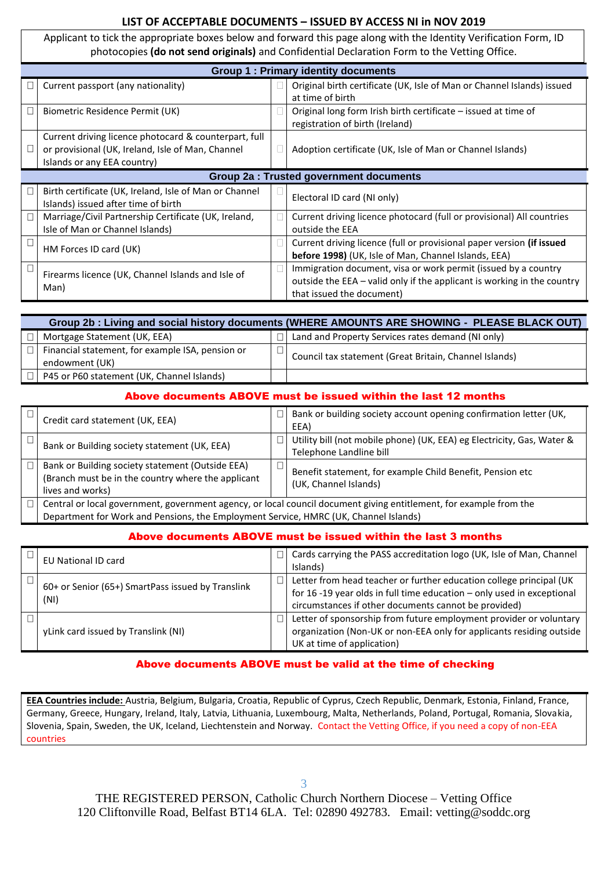# **LIST OF ACCEPTABLE DOCUMENTS – ISSUED BY ACCESS NI in NOV 2019**

Applicant to tick the appropriate boxes below and forward this page along with the Identity Verification Form, ID photocopies **(do not send originals)** and Confidential Declaration Form to the Vetting Office.

| <b>Group 1: Primary identity documents</b>                                                                                                |  |                                                                                                                                                                        |  |  |
|-------------------------------------------------------------------------------------------------------------------------------------------|--|------------------------------------------------------------------------------------------------------------------------------------------------------------------------|--|--|
| Current passport (any nationality)                                                                                                        |  | Original birth certificate (UK, Isle of Man or Channel Islands) issued<br>at time of birth                                                                             |  |  |
| Biometric Residence Permit (UK)                                                                                                           |  | Original long form Irish birth certificate – issued at time of<br>registration of birth (Ireland)                                                                      |  |  |
| Current driving licence photocard & counterpart, full<br>or provisional (UK, Ireland, Isle of Man, Channel<br>Islands or any EEA country) |  | Adoption certificate (UK, Isle of Man or Channel Islands)                                                                                                              |  |  |
| <b>Group 2a: Trusted government documents</b>                                                                                             |  |                                                                                                                                                                        |  |  |
| Birth certificate (UK, Ireland, Isle of Man or Channel<br>Islands) issued after time of birth                                             |  | Electoral ID card (NI only)                                                                                                                                            |  |  |
| Marriage/Civil Partnership Certificate (UK, Ireland,<br>Isle of Man or Channel Islands)                                                   |  | Current driving licence photocard (full or provisional) All countries<br>outside the EEA                                                                               |  |  |
| HM Forces ID card (UK)                                                                                                                    |  | Current driving licence (full or provisional paper version (if issued<br>before 1998) (UK, Isle of Man, Channel Islands, EEA)                                          |  |  |
| Firearms licence (UK, Channel Islands and Isle of<br>Man)                                                                                 |  | Immigration document, visa or work permit (issued by a country<br>outside the EEA - valid only if the applicant is working in the country<br>that issued the document) |  |  |

| Group 2b : Living and social history documents (WHERE AMOUNTS ARE SHOWING - PLEASE BLACK OUT) |                                                  |  |                                                        |  |
|-----------------------------------------------------------------------------------------------|--------------------------------------------------|--|--------------------------------------------------------|--|
|                                                                                               | Mortgage Statement (UK, EEA)                     |  | Land and Property Services rates demand (NI only)      |  |
|                                                                                               | Financial statement, for example ISA, pension or |  | Council tax statement (Great Britain, Channel Islands) |  |
|                                                                                               | endowment (UK)                                   |  |                                                        |  |
|                                                                                               | P45 or P60 statement (UK, Channel Islands)       |  |                                                        |  |

# Above documents ABOVE must be issued within the last 12 months

| Credit card statement (UK, EEA)                                                                                                                                                                            | ٦      | Bank or building society account opening confirmation letter (UK,<br>EEA)                         |
|------------------------------------------------------------------------------------------------------------------------------------------------------------------------------------------------------------|--------|---------------------------------------------------------------------------------------------------|
| Bank or Building society statement (UK, EEA)                                                                                                                                                               | 1      | Utility bill (not mobile phone) (UK, EEA) eg Electricity, Gas, Water &<br>Telephone Landline bill |
| Bank or Building society statement (Outside EEA)<br>(Branch must be in the country where the applicant<br>lives and works)                                                                                 | $\Box$ | Benefit statement, for example Child Benefit, Pension etc<br>(UK, Channel Islands)                |
| Central or local government, government agency, or local council document giving entitlement, for example from the<br>Department for Work and Pensions, the Employment Service, HMRC (UK, Channel Islands) |        |                                                                                                   |

# Above documents ABOVE must be issued within the last 3 months

| <b>EU National ID card</b>                                | $\Box$ l     | Cards carrying the PASS accreditation logo (UK, Isle of Man, Channel<br>Islands)                                                                                                                        |
|-----------------------------------------------------------|--------------|---------------------------------------------------------------------------------------------------------------------------------------------------------------------------------------------------------|
| 60+ or Senior (65+) SmartPass issued by Translink<br>(NI) | $\Box$       | Letter from head teacher or further education college principal (UK<br>for 16 -19 year olds in full time education $-$ only used in exceptional<br>circumstances if other documents cannot be provided) |
| yLink card issued by Translink (NI)                       | $\mathbf{L}$ | Letter of sponsorship from future employment provider or voluntary<br>organization (Non-UK or non-EEA only for applicants residing outside<br>UK at time of application)                                |

# Above documents ABOVE must be valid at the time of checking

**EEA Countries include:** Austria, Belgium, Bulgaria, Croatia, Republic of Cyprus, Czech Republic, Denmark, Estonia, Finland, France, Germany, Greece, Hungary, Ireland, Italy, Latvia, Lithuania, Luxembourg, Malta, Netherlands, Poland, Portugal, Romania, Slovakia, Slovenia, Spain, Sweden, the UK, Iceland, Liechtenstein and Norway. Contact the Vetting Office, if you need a copy of non-EEA countries

THE REGISTERED PERSON, Catholic Church Northern Diocese – Vetting Office 120 Cliftonville Road, Belfast BT14 6LA. Tel: 02890 492783. Email: vetting@soddc.org